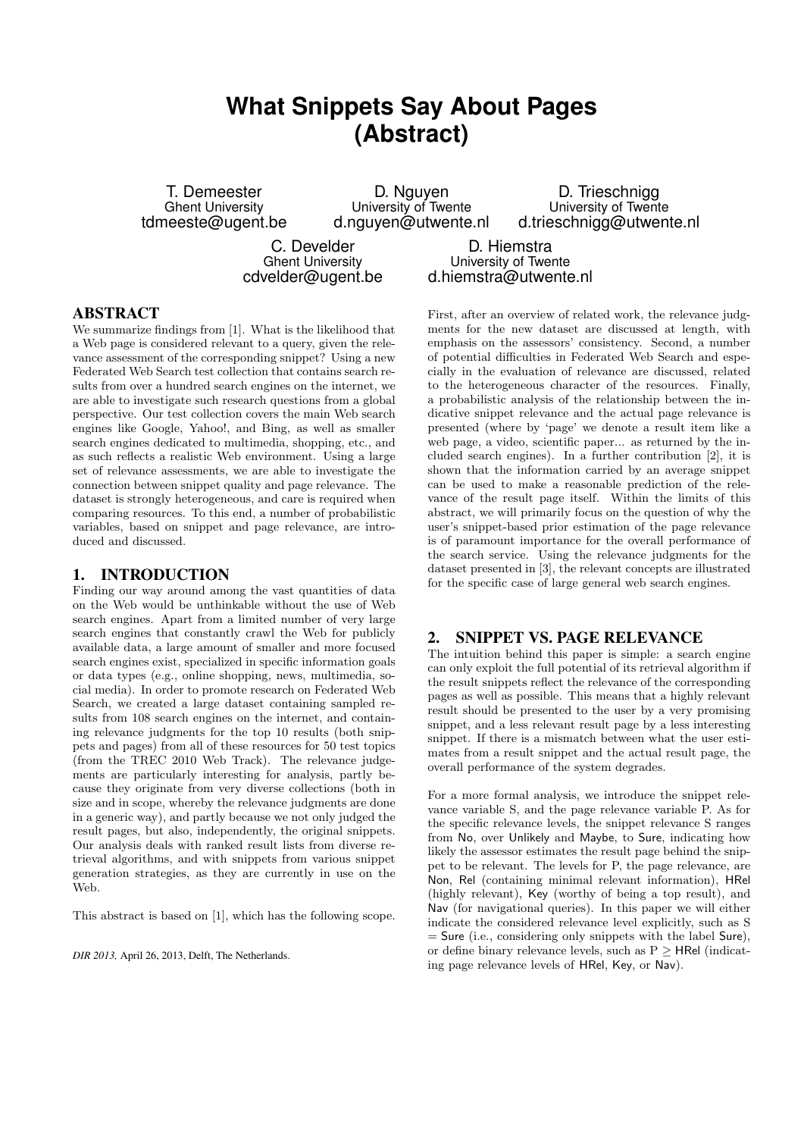# **What Snippets Say About Pages (Abstract)**

T. Demeester Ghent University tdmeeste@ugent.be

D. Nguyen University of Twente d.nguyen@utwente.nl

D. Trieschnigg University of Twente d.trieschnigg@utwente.nl

C. Develder Ghent University cdvelder@ugent.be

D. Hiemstra University of Twente d.hiemstra@utwente.nl

# ABSTRACT

We summarize findings from [1]. What is the likelihood that a Web page is considered relevant to a query, given the relevance assessment of the corresponding snippet? Using a new Federated Web Search test collection that contains search results from over a hundred search engines on the internet, we are able to investigate such research questions from a global perspective. Our test collection covers the main Web search engines like Google, Yahoo!, and Bing, as well as smaller search engines dedicated to multimedia, shopping, etc., and as such reflects a realistic Web environment. Using a large set of relevance assessments, we are able to investigate the connection between snippet quality and page relevance. The dataset is strongly heterogeneous, and care is required when comparing resources. To this end, a number of probabilistic variables, based on snippet and page relevance, are introduced and discussed.

## 1. INTRODUCTION

Finding our way around among the vast quantities of data on the Web would be unthinkable without the use of Web search engines. Apart from a limited number of very large search engines that constantly crawl the Web for publicly available data, a large amount of smaller and more focused search engines exist, specialized in specific information goals or data types (e.g., online shopping, news, multimedia, social media). In order to promote research on Federated Web Search, we created a large dataset containing sampled results from 108 search engines on the internet, and containing relevance judgments for the top 10 results (both snippets and pages) from all of these resources for 50 test topics (from the TREC 2010 Web Track). The relevance judgements are particularly interesting for analysis, partly because they originate from very diverse collections (both in size and in scope, whereby the relevance judgments are done in a generic way), and partly because we not only judged the result pages, but also, independently, the original snippets. Our analysis deals with ranked result lists from diverse retrieval algorithms, and with snippets from various snippet generation strategies, as they are currently in use on the Web.

This abstract is based on [1], which has the following scope.

*DIR 2013,* April 26, 2013, Delft, The Netherlands.

First, after an overview of related work, the relevance judgments for the new dataset are discussed at length, with emphasis on the assessors' consistency. Second, a number of potential difficulties in Federated Web Search and especially in the evaluation of relevance are discussed, related to the heterogeneous character of the resources. Finally, a probabilistic analysis of the relationship between the indicative snippet relevance and the actual page relevance is presented (where by 'page' we denote a result item like a web page, a video, scientific paper... as returned by the included search engines). In a further contribution [2], it is shown that the information carried by an average snippet can be used to make a reasonable prediction of the relevance of the result page itself. Within the limits of this abstract, we will primarily focus on the question of why the user's snippet-based prior estimation of the page relevance is of paramount importance for the overall performance of the search service. Using the relevance judgments for the dataset presented in [3], the relevant concepts are illustrated for the specific case of large general web search engines.

## 2. SNIPPET VS. PAGE RELEVANCE

The intuition behind this paper is simple: a search engine can only exploit the full potential of its retrieval algorithm if the result snippets reflect the relevance of the corresponding pages as well as possible. This means that a highly relevant result should be presented to the user by a very promising snippet, and a less relevant result page by a less interesting snippet. If there is a mismatch between what the user estimates from a result snippet and the actual result page, the overall performance of the system degrades.

For a more formal analysis, we introduce the snippet relevance variable S, and the page relevance variable P. As for the specific relevance levels, the snippet relevance S ranges from No, over Unlikely and Maybe, to Sure, indicating how likely the assessor estimates the result page behind the snippet to be relevant. The levels for P, the page relevance, are Non, Rel (containing minimal relevant information), HRel (highly relevant), Key (worthy of being a top result), and Nav (for navigational queries). In this paper we will either indicate the considered relevance level explicitly, such as S  $=$  Sure (i.e., considering only snippets with the label Sure), or define binary relevance levels, such as  $P \geq H$ Rel (indicating page relevance levels of HRel, Key, or Nav).